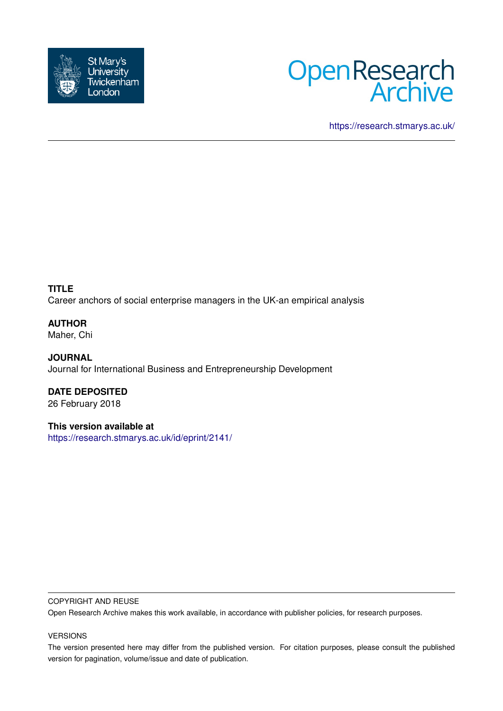



<https://research.stmarys.ac.uk/>

**TITLE** Career anchors of social enterprise managers in the UK-an empirical analysis

**AUTHOR** Maher, Chi

**JOURNAL** Journal for International Business and Entrepreneurship Development

**DATE DEPOSITED** 26 February 2018

**This version available at** <https://research.stmarys.ac.uk/id/eprint/2141/>

#### COPYRIGHT AND REUSE

Open Research Archive makes this work available, in accordance with publisher policies, for research purposes.

VERSIONS

The version presented here may differ from the published version. For citation purposes, please consult the published version for pagination, volume/issue and date of publication.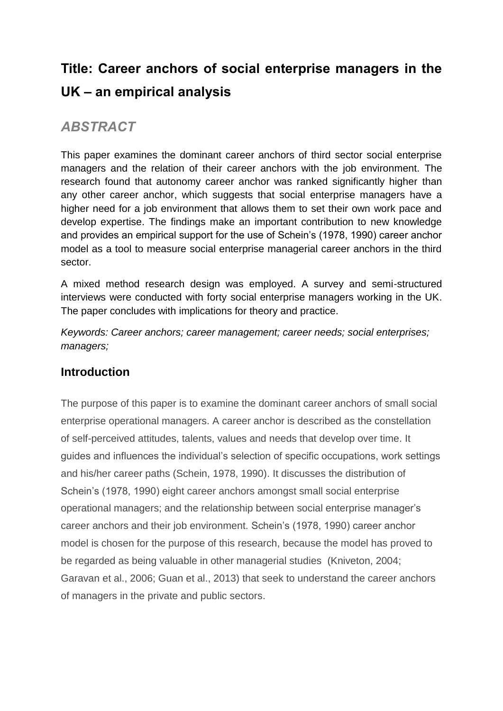# **Title: Career anchors of social enterprise managers in the UK – an empirical analysis**

# *ABSTRACT*

This paper examines the dominant career anchors of third sector social enterprise managers and the relation of their career anchors with the job environment. The research found that autonomy career anchor was ranked significantly higher than any other career anchor, which suggests that social enterprise managers have a higher need for a job environment that allows them to set their own work pace and develop expertise. The findings make an important contribution to new knowledge and provides an empirical support for the use of Schein's (1978, 1990) career anchor model as a tool to measure social enterprise managerial career anchors in the third sector.

A mixed method research design was employed. A survey and semi-structured interviews were conducted with forty social enterprise managers working in the UK. The paper concludes with implications for theory and practice.

*Keywords: Career anchors; career management; career needs; social enterprises; managers;* 

# **Introduction**

The purpose of this paper is to examine the dominant career anchors of small social enterprise operational managers. A career anchor is described as the constellation of self-perceived attitudes, talents, values and needs that develop over time. It guides and influences the individual's selection of specific occupations, work settings and his/her career paths (Schein, 1978, 1990). It discusses the distribution of Schein's (1978, 1990) eight career anchors amongst small social enterprise operational managers; and the relationship between social enterprise manager's career anchors and their job environment. Schein's (1978, 1990) career anchor model is chosen for the purpose of this research, because the model has proved to be regarded as being valuable in other managerial studies (Kniveton, 2004; Garavan et al., 2006; Guan et al., 2013) that seek to understand the career anchors of managers in the private and public sectors.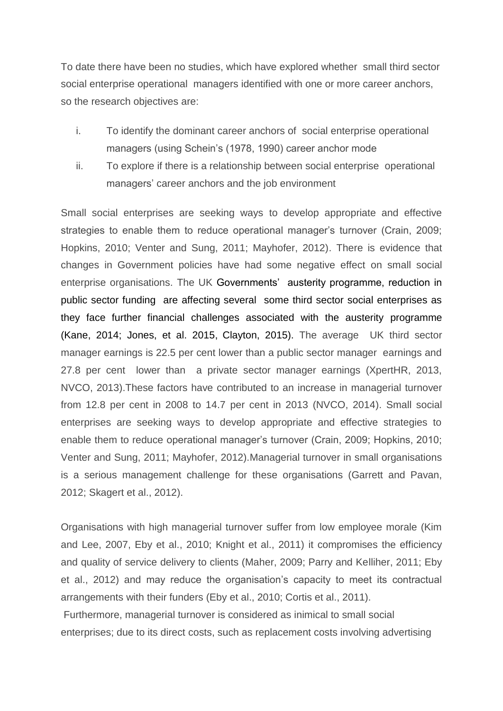To date there have been no studies, which have explored whether small third sector social enterprise operational managers identified with one or more career anchors, so the research objectives are:

- i. To identify the dominant career anchors of social enterprise operational managers (using Schein's (1978, 1990) career anchor mode
- ii. To explore if there is a relationship between social enterprise operational managers' career anchors and the job environment

Small social enterprises are seeking ways to develop appropriate and effective strategies to enable them to reduce operational manager's turnover (Crain, 2009; Hopkins, 2010; Venter and Sung, 2011; Mayhofer, 2012). There is evidence that changes in Government policies have had some negative effect on small social enterprise organisations. The UK Governments' austerity programme, reduction in public sector funding are affecting several some third sector social enterprises as they face further financial challenges associated with the austerity programme (Kane, 2014; Jones, et al. 2015, Clayton, 2015). The average UK third sector manager earnings is 22.5 per cent lower than a public sector manager earnings and 27.8 per cent lower than a private sector manager earnings (XpertHR, 2013, NVCO, 2013).These factors have contributed to an increase in managerial turnover from 12.8 per cent in 2008 to 14.7 per cent in 2013 (NVCO, 2014). Small social enterprises are seeking ways to develop appropriate and effective strategies to enable them to reduce operational manager's turnover (Crain, 2009; Hopkins, 2010; Venter and Sung, 2011; Mayhofer, 2012).Managerial turnover in small organisations is a serious management challenge for these organisations (Garrett and Pavan, 2012; Skagert et al., 2012).

Organisations with high managerial turnover suffer from low employee morale (Kim and Lee, 2007, Eby et al., 2010; Knight et al., 2011) it compromises the efficiency and quality of service delivery to clients (Maher, 2009; Parry and Kelliher, 2011; Eby et al., 2012) and may reduce the organisation's capacity to meet its contractual arrangements with their funders (Eby et al., 2010; Cortis et al., 2011).

Furthermore, managerial turnover is considered as inimical to small social enterprises; due to its direct costs, such as replacement costs involving advertising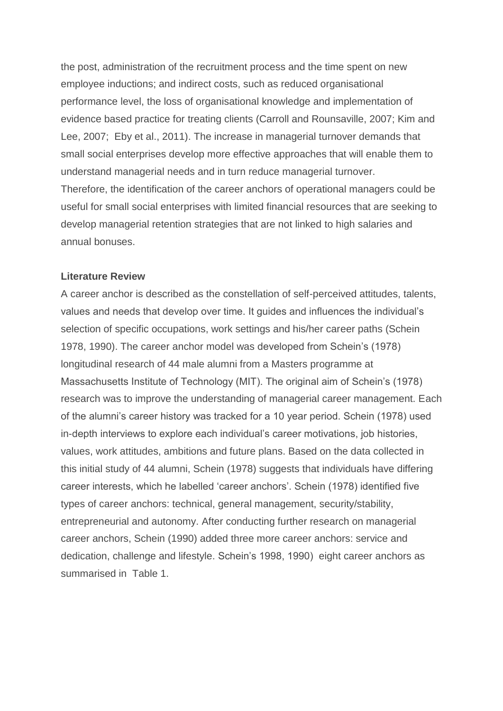the post, administration of the recruitment process and the time spent on new employee inductions; and indirect costs, such as reduced organisational performance level, the loss of organisational knowledge and implementation of evidence based practice for treating clients (Carroll and Rounsaville, 2007; Kim and Lee, 2007; Eby et al., 2011). The increase in managerial turnover demands that small social enterprises develop more effective approaches that will enable them to understand managerial needs and in turn reduce managerial turnover. Therefore, the identification of the career anchors of operational managers could be useful for small social enterprises with limited financial resources that are seeking to develop managerial retention strategies that are not linked to high salaries and annual bonuses.

#### **Literature Review**

A career anchor is described as the constellation of self-perceived attitudes, talents, values and needs that develop over time. It guides and influences the individual's selection of specific occupations, work settings and his/her career paths (Schein 1978, 1990). The career anchor model was developed from Schein's (1978) longitudinal research of 44 male alumni from a Masters programme at Massachusetts Institute of Technology (MIT). The original aim of Schein's (1978) research was to improve the understanding of managerial career management. Each of the alumni's career history was tracked for a 10 year period. Schein (1978) used in-depth interviews to explore each individual's career motivations, job histories, values, work attitudes, ambitions and future plans. Based on the data collected in this initial study of 44 alumni, Schein (1978) suggests that individuals have differing career interests, which he labelled 'career anchors'. Schein (1978) identified five types of career anchors: technical, general management, security/stability, entrepreneurial and autonomy. After conducting further research on managerial career anchors, Schein (1990) added three more career anchors: service and dedication, challenge and lifestyle. Schein's 1998, 1990) eight career anchors as summarised in Table 1.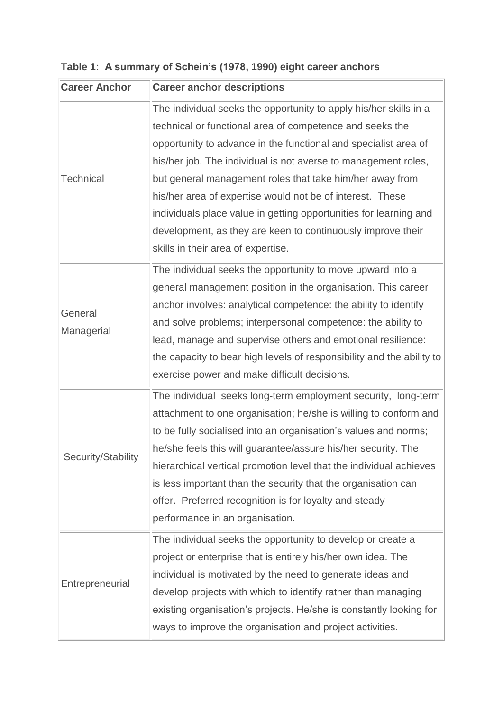| <b>Career Anchor</b> | <b>Career anchor descriptions</b>                                     |
|----------------------|-----------------------------------------------------------------------|
|                      | The individual seeks the opportunity to apply his/her skills in a     |
|                      | technical or functional area of competence and seeks the              |
|                      | opportunity to advance in the functional and specialist area of       |
|                      | his/her job. The individual is not averse to management roles,        |
| <b>Technical</b>     | but general management roles that take him/her away from              |
|                      | his/her area of expertise would not be of interest. These             |
|                      | individuals place value in getting opportunities for learning and     |
|                      | development, as they are keen to continuously improve their           |
|                      | skills in their area of expertise.                                    |
|                      | The individual seeks the opportunity to move upward into a            |
|                      | general management position in the organisation. This career          |
| General              | anchor involves: analytical competence: the ability to identify       |
| Managerial           | and solve problems; interpersonal competence: the ability to          |
|                      | lead, manage and supervise others and emotional resilience:           |
|                      | the capacity to bear high levels of responsibility and the ability to |
|                      | exercise power and make difficult decisions.                          |
|                      | The individual seeks long-term employment security, long-term         |
|                      | attachment to one organisation; he/she is willing to conform and      |
|                      | to be fully socialised into an organisation's values and norms;       |
| Security/Stability   | he/she feels this will guarantee/assure his/her security. The         |
|                      | hierarchical vertical promotion level that the individual achieves    |
|                      | is less important than the security that the organisation can         |
|                      | offer. Preferred recognition is for loyalty and steady                |
|                      | performance in an organisation.                                       |
|                      | The individual seeks the opportunity to develop or create a           |
|                      | project or enterprise that is entirely his/her own idea. The          |
| Entrepreneurial      | individual is motivated by the need to generate ideas and             |
|                      | develop projects with which to identify rather than managing          |
|                      | existing organisation's projects. He/she is constantly looking for    |
|                      | ways to improve the organisation and project activities.              |

# **Table 1: A summary of Schein's (1978, 1990) eight career anchors**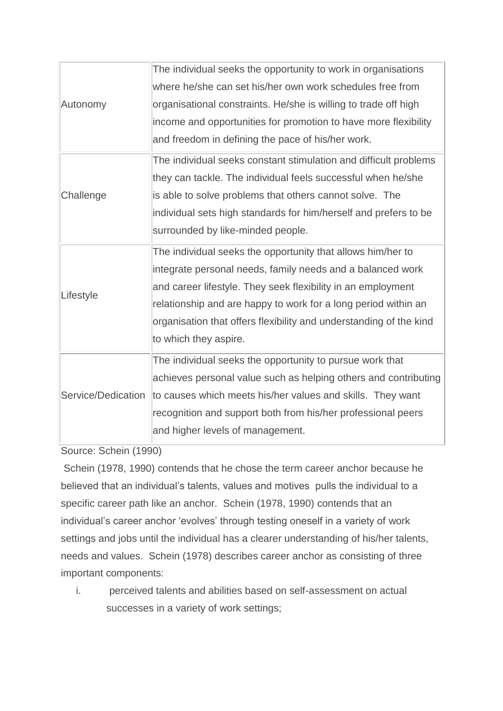| Autonomy           | The individual seeks the opportunity to work in organisations      |
|--------------------|--------------------------------------------------------------------|
|                    | where he/she can set his/her own work schedules free from          |
|                    | organisational constraints. He/she is willing to trade off high    |
|                    | income and opportunities for promotion to have more flexibility    |
|                    | and freedom in defining the pace of his/her work.                  |
|                    | The individual seeks constant stimulation and difficult problems   |
|                    | they can tackle. The individual feels successful when he/she       |
| Challenge          | is able to solve problems that others cannot solve. The            |
|                    | individual sets high standards for him/herself and prefers to be   |
|                    | surrounded by like-minded people.                                  |
|                    | The individual seeks the opportunity that allows him/her to        |
|                    | integrate personal needs, family needs and a balanced work         |
| Lifestyle          | and career lifestyle. They seek flexibility in an employment       |
|                    | relationship and are happy to work for a long period within an     |
|                    | organisation that offers flexibility and understanding of the kind |
|                    | to which they aspire.                                              |
| Service/Dedication | The individual seeks the opportunity to pursue work that           |
|                    | achieves personal value such as helping others and contributing    |
|                    | to causes which meets his/her values and skills. They want         |
|                    | recognition and support both from his/her professional peers       |
|                    | and higher levels of management.                                   |
|                    |                                                                    |

Source: Schein (1990)

Schein (1978, 1990) contends that he chose the term career anchor because he believed that an individual's talents, values and motives pulls the individual to a specific career path like an anchor. Schein (1978, 1990) contends that an individual's career anchor 'evolves' through testing oneself in a variety of work settings and jobs until the individual has a clearer understanding of his/her talents, needs and values. Schein (1978) describes career anchor as consisting of three important components:

i. perceived talents and abilities based on self-assessment on actual successes in a variety of work settings;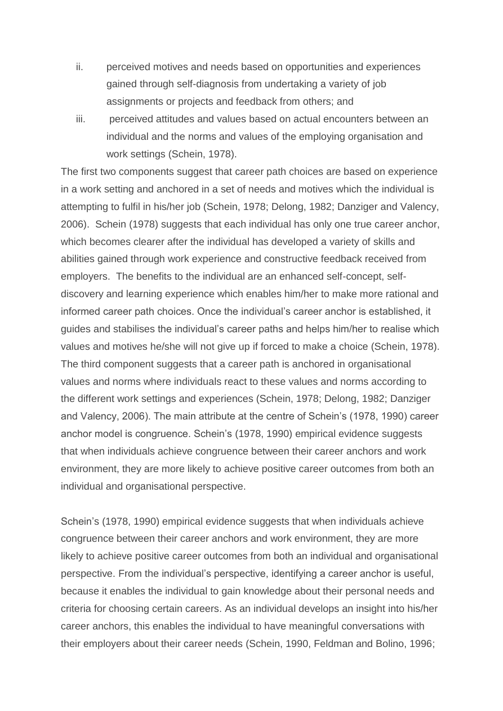- ii. perceived motives and needs based on opportunities and experiences gained through self-diagnosis from undertaking a variety of job assignments or projects and feedback from others; and
- iii. perceived attitudes and values based on actual encounters between an individual and the norms and values of the employing organisation and work settings (Schein, 1978).

The first two components suggest that career path choices are based on experience in a work setting and anchored in a set of needs and motives which the individual is attempting to fulfil in his/her job (Schein, 1978; Delong, 1982; Danziger and Valency, 2006). Schein (1978) suggests that each individual has only one true career anchor, which becomes clearer after the individual has developed a variety of skills and abilities gained through work experience and constructive feedback received from employers. The benefits to the individual are an enhanced self-concept, selfdiscovery and learning experience which enables him/her to make more rational and informed career path choices. Once the individual's career anchor is established, it guides and stabilises the individual's career paths and helps him/her to realise which values and motives he/she will not give up if forced to make a choice (Schein, 1978). The third component suggests that a career path is anchored in organisational values and norms where individuals react to these values and norms according to the different work settings and experiences (Schein, 1978; Delong, 1982; Danziger and Valency, 2006). The main attribute at the centre of Schein's (1978, 1990) career anchor model is congruence. Schein's (1978, 1990) empirical evidence suggests that when individuals achieve congruence between their career anchors and work environment, they are more likely to achieve positive career outcomes from both an individual and organisational perspective.

Schein's (1978, 1990) empirical evidence suggests that when individuals achieve congruence between their career anchors and work environment, they are more likely to achieve positive career outcomes from both an individual and organisational perspective. From the individual's perspective, identifying a career anchor is useful, because it enables the individual to gain knowledge about their personal needs and criteria for choosing certain careers. As an individual develops an insight into his/her career anchors, this enables the individual to have meaningful conversations with their employers about their career needs (Schein, 1990, Feldman and Bolino, 1996;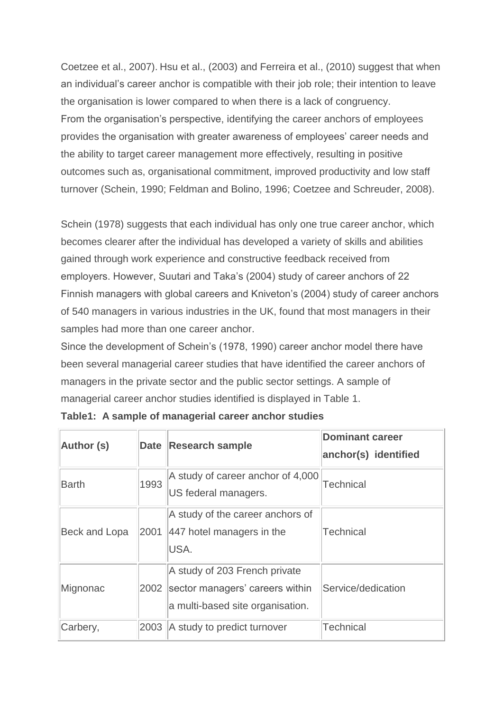Coetzee et al., 2007). Hsu et al., (2003) and Ferreira et al., (2010) suggest that when an individual's career anchor is compatible with their job role; their intention to leave the organisation is lower compared to when there is a lack of congruency. From the organisation's perspective, identifying the career anchors of employees provides the organisation with greater awareness of employees' career needs and the ability to target career management more effectively, resulting in positive outcomes such as, organisational commitment, improved productivity and low staff turnover (Schein, 1990; Feldman and Bolino, 1996; Coetzee and Schreuder, 2008).

Schein (1978) suggests that each individual has only one true career anchor, which becomes clearer after the individual has developed a variety of skills and abilities gained through work experience and constructive feedback received from employers. However, Suutari and Taka's (2004) study of career anchors of 22 Finnish managers with global careers and Kniveton's (2004) study of career anchors of 540 managers in various industries in the UK, found that most managers in their samples had more than one career anchor.

Since the development of Schein's (1978, 1990) career anchor model there have been several managerial career studies that have identified the career anchors of managers in the private sector and the public sector settings. A sample of managerial career anchor studies identified is displayed in Table 1.

| <b>Author (s)</b>    | <b>Date</b> | <b>Research sample</b>                                                                               | <b>Dominant career</b><br>anchor(s) identified |
|----------------------|-------------|------------------------------------------------------------------------------------------------------|------------------------------------------------|
| Barth                | 1993        | A study of career anchor of 4,000<br>US federal managers.                                            | <b>Technical</b>                               |
| <b>Beck and Lopa</b> | 2001        | A study of the career anchors of<br>447 hotel managers in the<br>USA.                                | <b>Technical</b>                               |
| Mignonac             | 2002        | A study of 203 French private<br>sector managers' careers within<br>a multi-based site organisation. | Service/dedication                             |
| Carbery,             | 2003        | A study to predict turnover                                                                          | <b>Technical</b>                               |

|  |  |  | Table1: A sample of managerial career anchor studies |  |  |  |
|--|--|--|------------------------------------------------------|--|--|--|
|--|--|--|------------------------------------------------------|--|--|--|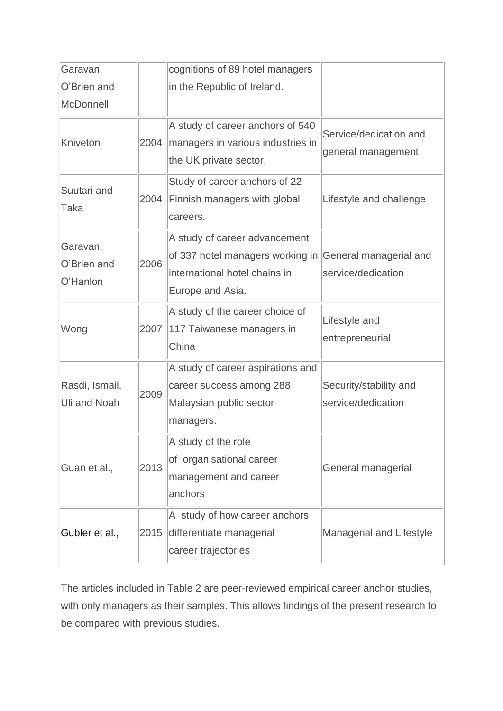| Garavan,                              |      | cognitions of 89 hotel managers                                                                                                               |                                              |
|---------------------------------------|------|-----------------------------------------------------------------------------------------------------------------------------------------------|----------------------------------------------|
| O'Brien and                           |      | in the Republic of Ireland.                                                                                                                   |                                              |
| <b>McDonnell</b>                      |      |                                                                                                                                               |                                              |
| Kniveton                              | 2004 | A study of career anchors of 540<br>managers in various industries in<br>the UK private sector.                                               | Service/dedication and<br>general management |
| Suutari and<br>Taka                   | 2004 | Study of career anchors of 22<br>Finnish managers with global<br>careers.                                                                     | Lifestyle and challenge                      |
| Garavan,<br>O'Brien and<br>O'Hanlon   | 2006 | A study of career advancement<br>of 337 hotel managers working in General managerial and<br>international hotel chains in<br>Europe and Asia. | service/dedication                           |
| Wong                                  | 2007 | A study of the career choice of<br>117 Taiwanese managers in<br>China                                                                         | Lifestyle and<br>entrepreneurial             |
| Rasdi, Ismail,<br><b>Uli and Noah</b> | 2009 | A study of career aspirations and<br>career success among 288<br>Malaysian public sector<br>managers.                                         | Security/stability and<br>service/dedication |
| Guan et al.,                          | 2013 | A study of the role<br>of organisational career<br>management and career<br>anchors                                                           | General managerial                           |
| Gubler et al.,                        | 2015 | A study of how career anchors<br>differentiate managerial<br>career trajectories                                                              | Managerial and Lifestyle                     |

The articles included in Table 2 are peer-reviewed empirical career anchor studies, with only managers as their samples. This allows findings of the present research to be compared with previous studies.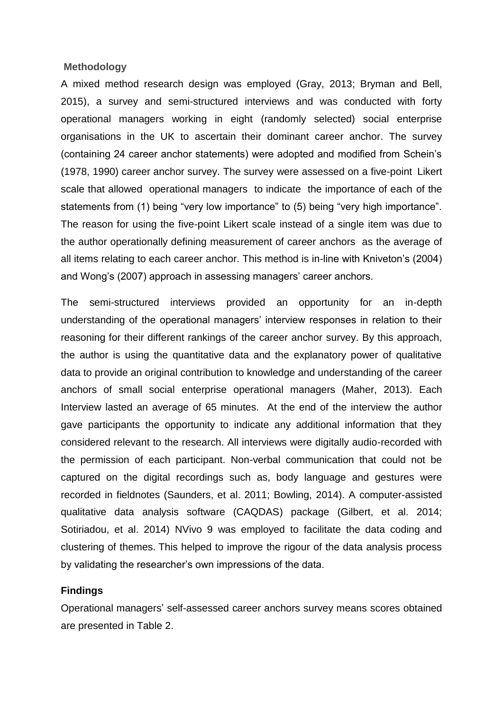#### **Methodology**

A mixed method research design was employed (Gray, 2013; Bryman and Bell, 2015), a survey and semi-structured interviews and was conducted with forty operational managers working in eight (randomly selected) social enterprise organisations in the UK to ascertain their dominant career anchor. The survey (containing 24 career anchor statements) were adopted and modified from Schein's (1978, 1990) career anchor survey. The survey were assessed on a five-point Likert scale that allowed operational managers to indicate the importance of each of the statements from (1) being "very low importance" to (5) being "very high importance". The reason for using the five-point Likert scale instead of a single item was due to the author operationally defining measurement of career anchors as the average of all items relating to each career anchor. This method is in-line with Kniveton's (2004) and Wong's (2007) approach in assessing managers' career anchors.

The semi-structured interviews provided an opportunity for an in-depth understanding of the operational managers' interview responses in relation to their reasoning for their different rankings of the career anchor survey. By this approach, the author is using the quantitative data and the explanatory power of qualitative data to provide an original contribution to knowledge and understanding of the career anchors of small social enterprise operational managers (Maher, 2013). Each Interview lasted an average of 65 minutes. At the end of the interview the author gave participants the opportunity to indicate any additional information that they considered relevant to the research. All interviews were digitally audio-recorded with the permission of each participant. Non-verbal communication that could not be captured on the digital recordings such as, body language and gestures were recorded in fieldnotes (Saunders, et al. 2011; Bowling, 2014). A computer-assisted qualitative data analysis software (CAQDAS) package (Gilbert, et al. 2014; Sotiriadou, et al. 2014) NVivo 9 was employed to facilitate the data coding and clustering of themes. This helped to improve the rigour of the data analysis process by validating the researcher's own impressions of the data.

#### **Findings**

Operational managers' self-assessed career anchors survey means scores obtained are presented in Table 2.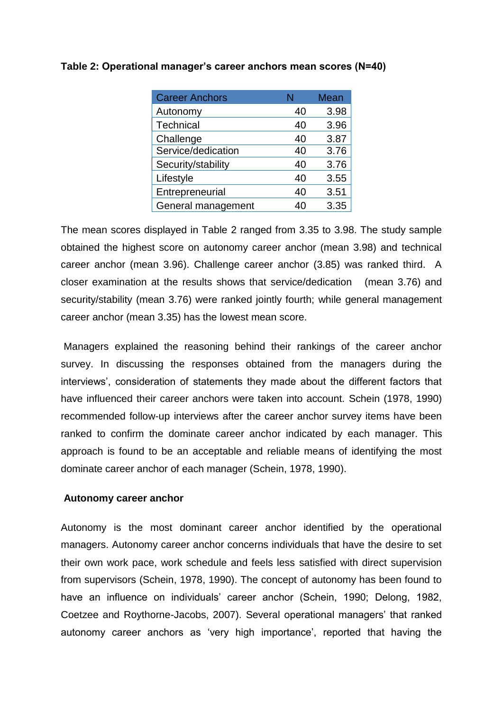| <b>Career Anchors</b> |    | <b>Mean</b> |
|-----------------------|----|-------------|
| Autonomy              | 40 | 3.98        |
| Technical             | 40 | 3.96        |
| Challenge             | 40 | 3.87        |
| Service/dedication    | 40 | 3.76        |
| Security/stability    | 40 | 3.76        |
| Lifestyle             | 40 | 3.55        |
| Entrepreneurial       | 40 | 3.51        |
| General management    | 40 | 3.35        |

# **Table 2: Operational manager's career anchors mean scores (N=40)**

The mean scores displayed in Table 2 ranged from 3.35 to 3.98. The study sample obtained the highest score on autonomy career anchor (mean 3.98) and technical career anchor (mean 3.96). Challenge career anchor (3.85) was ranked third. A closer examination at the results shows that service/dedication (mean 3.76) and security/stability (mean 3.76) were ranked jointly fourth; while general management career anchor (mean 3.35) has the lowest mean score.

Managers explained the reasoning behind their rankings of the career anchor survey. In discussing the responses obtained from the managers during the interviews', consideration of statements they made about the different factors that have influenced their career anchors were taken into account. Schein (1978, 1990) recommended follow-up interviews after the career anchor survey items have been ranked to confirm the dominate career anchor indicated by each manager. This approach is found to be an acceptable and reliable means of identifying the most dominate career anchor of each manager (Schein, 1978, 1990).

#### **Autonomy career anchor**

Autonomy is the most dominant career anchor identified by the operational managers. Autonomy career anchor concerns individuals that have the desire to set their own work pace, work schedule and feels less satisfied with direct supervision from supervisors (Schein, 1978, 1990). The concept of autonomy has been found to have an influence on individuals' career anchor (Schein, 1990; Delong, 1982, Coetzee and Roythorne-Jacobs, 2007). Several operational managers' that ranked autonomy career anchors as 'very high importance', reported that having the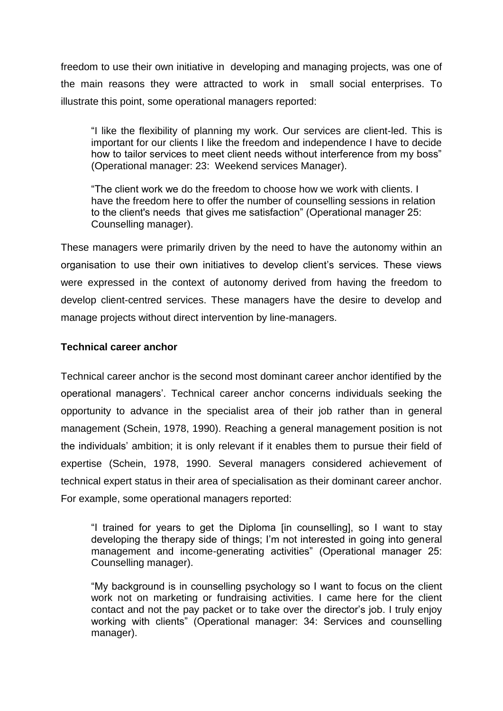freedom to use their own initiative in developing and managing projects, was one of the main reasons they were attracted to work in small social enterprises. To illustrate this point, some operational managers reported:

"I like the flexibility of planning my work. Our services are client-led. This is important for our clients I like the freedom and independence I have to decide how to tailor services to meet client needs without interference from my boss" (Operational manager: 23: Weekend services Manager).

"The client work we do the freedom to choose how we work with clients. I have the freedom here to offer the number of counselling sessions in relation to the client's needs that gives me satisfaction" (Operational manager 25: Counselling manager).

These managers were primarily driven by the need to have the autonomy within an organisation to use their own initiatives to develop client's services. These views were expressed in the context of autonomy derived from having the freedom to develop client-centred services. These managers have the desire to develop and manage projects without direct intervention by line-managers.

# **Technical career anchor**

Technical career anchor is the second most dominant career anchor identified by the operational managers'. Technical career anchor concerns individuals seeking the opportunity to advance in the specialist area of their job rather than in general management (Schein, 1978, 1990). Reaching a general management position is not the individuals' ambition; it is only relevant if it enables them to pursue their field of expertise (Schein, 1978, 1990. Several managers considered achievement of technical expert status in their area of specialisation as their dominant career anchor. For example, some operational managers reported:

"I trained for years to get the Diploma [in counselling], so I want to stay developing the therapy side of things; I'm not interested in going into general management and income-generating activities" (Operational manager 25: Counselling manager).

"My background is in counselling psychology so I want to focus on the client work not on marketing or fundraising activities. I came here for the client contact and not the pay packet or to take over the director's job. I truly enjoy working with clients" (Operational manager: 34: Services and counselling manager).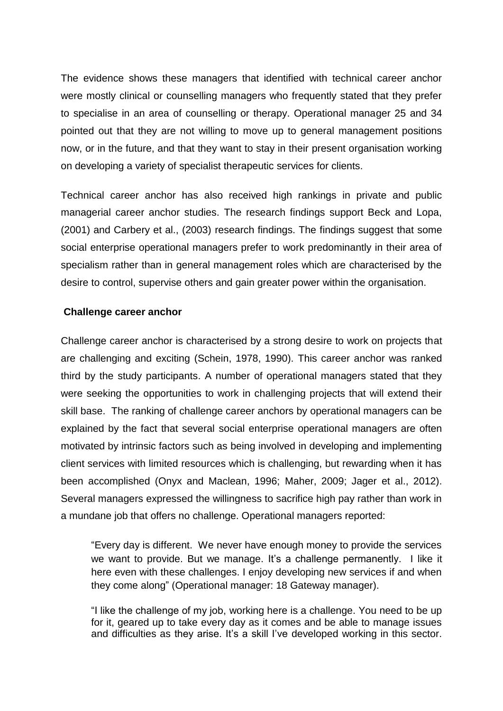The evidence shows these managers that identified with technical career anchor were mostly clinical or counselling managers who frequently stated that they prefer to specialise in an area of counselling or therapy. Operational manager 25 and 34 pointed out that they are not willing to move up to general management positions now, or in the future, and that they want to stay in their present organisation working on developing a variety of specialist therapeutic services for clients.

Technical career anchor has also received high rankings in private and public managerial career anchor studies. The research findings support Beck and Lopa, (2001) and Carbery et al., (2003) research findings. The findings suggest that some social enterprise operational managers prefer to work predominantly in their area of specialism rather than in general management roles which are characterised by the desire to control, supervise others and gain greater power within the organisation.

# **Challenge career anchor**

Challenge career anchor is characterised by a strong desire to work on projects that are challenging and exciting (Schein, 1978, 1990). This career anchor was ranked third by the study participants. A number of operational managers stated that they were seeking the opportunities to work in challenging projects that will extend their skill base. The ranking of challenge career anchors by operational managers can be explained by the fact that several social enterprise operational managers are often motivated by intrinsic factors such as being involved in developing and implementing client services with limited resources which is challenging, but rewarding when it has been accomplished (Onyx and Maclean, 1996; Maher, 2009; Jager et al., 2012). Several managers expressed the willingness to sacrifice high pay rather than work in a mundane job that offers no challenge. Operational managers reported:

"Every day is different. We never have enough money to provide the services we want to provide. But we manage. It's a challenge permanently. I like it here even with these challenges. I enjoy developing new services if and when they come along" (Operational manager: 18 Gateway manager).

"I like the challenge of my job, working here is a challenge. You need to be up for it, geared up to take every day as it comes and be able to manage issues and difficulties as they arise. It's a skill I've developed working in this sector.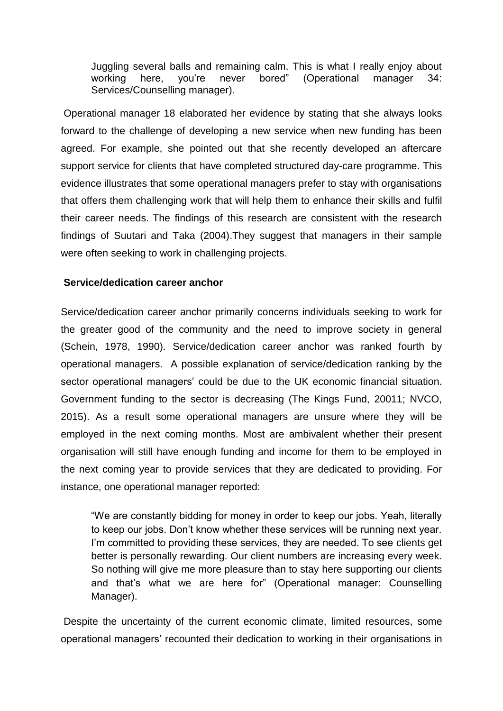Juggling several balls and remaining calm. This is what I really enjoy about working here, you're never bored" (Operational manager 34: Services/Counselling manager).

Operational manager 18 elaborated her evidence by stating that she always looks forward to the challenge of developing a new service when new funding has been agreed. For example, she pointed out that she recently developed an aftercare support service for clients that have completed structured day-care programme. This evidence illustrates that some operational managers prefer to stay with organisations that offers them challenging work that will help them to enhance their skills and fulfil their career needs. The findings of this research are consistent with the research findings of Suutari and Taka (2004).They suggest that managers in their sample were often seeking to work in challenging projects.

# **Service/dedication career anchor**

Service/dedication career anchor primarily concerns individuals seeking to work for the greater good of the community and the need to improve society in general (Schein, 1978, 1990). Service/dedication career anchor was ranked fourth by operational managers. A possible explanation of service/dedication ranking by the sector operational managers' could be due to the UK economic financial situation. Government funding to the sector is decreasing (The Kings Fund, 20011; NVCO, 2015). As a result some operational managers are unsure where they will be employed in the next coming months. Most are ambivalent whether their present organisation will still have enough funding and income for them to be employed in the next coming year to provide services that they are dedicated to providing. For instance, one operational manager reported:

"We are constantly bidding for money in order to keep our jobs. Yeah, literally to keep our jobs. Don't know whether these services will be running next year. I'm committed to providing these services, they are needed. To see clients get better is personally rewarding. Our client numbers are increasing every week. So nothing will give me more pleasure than to stay here supporting our clients and that's what we are here for" (Operational manager: Counselling Manager).

Despite the uncertainty of the current economic climate, limited resources, some operational managers' recounted their dedication to working in their organisations in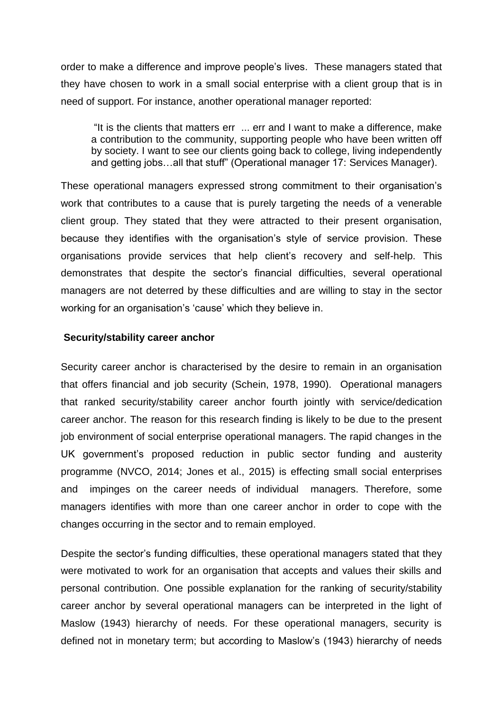order to make a difference and improve people's lives. These managers stated that they have chosen to work in a small social enterprise with a client group that is in need of support. For instance, another operational manager reported:

"It is the clients that matters err ... err and I want to make a difference, make a contribution to the community, supporting people who have been written off by society. I want to see our clients going back to college, living independently and getting jobs…all that stuff" (Operational manager 17: Services Manager).

These operational managers expressed strong commitment to their organisation's work that contributes to a cause that is purely targeting the needs of a venerable client group. They stated that they were attracted to their present organisation, because they identifies with the organisation's style of service provision. These organisations provide services that help client's recovery and self-help. This demonstrates that despite the sector's financial difficulties, several operational managers are not deterred by these difficulties and are willing to stay in the sector working for an organisation's 'cause' which they believe in.

#### **Security/stability career anchor**

Security career anchor is characterised by the desire to remain in an organisation that offers financial and job security (Schein, 1978, 1990). Operational managers that ranked security/stability career anchor fourth jointly with service/dedication career anchor. The reason for this research finding is likely to be due to the present job environment of social enterprise operational managers. The rapid changes in the UK government's proposed reduction in public sector funding and austerity programme (NVCO, 2014; Jones et al., 2015) is effecting small social enterprises and impinges on the career needs of individual managers. Therefore, some managers identifies with more than one career anchor in order to cope with the changes occurring in the sector and to remain employed.

Despite the sector's funding difficulties, these operational managers stated that they were motivated to work for an organisation that accepts and values their skills and personal contribution. One possible explanation for the ranking of security/stability career anchor by several operational managers can be interpreted in the light of Maslow (1943) hierarchy of needs. For these operational managers, security is defined not in monetary term; but according to Maslow's (1943) hierarchy of needs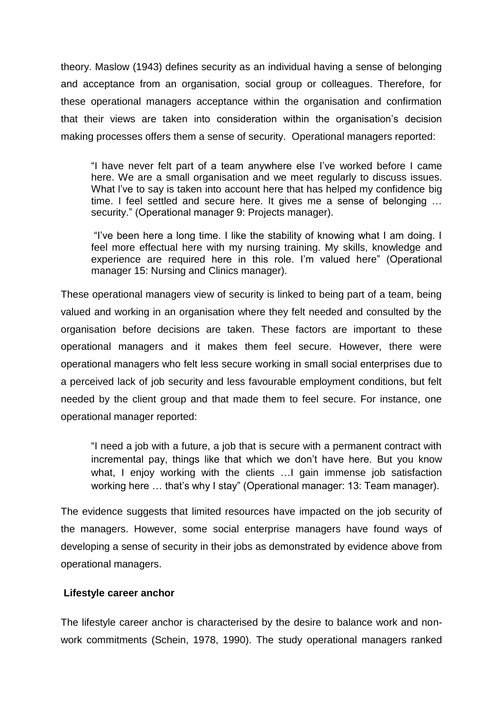theory. Maslow (1943) defines security as an individual having a sense of belonging and acceptance from an organisation, social group or colleagues. Therefore, for these operational managers acceptance within the organisation and confirmation that their views are taken into consideration within the organisation's decision making processes offers them a sense of security. Operational managers reported:

"I have never felt part of a team anywhere else I've worked before I came here. We are a small organisation and we meet regularly to discuss issues. What l've to say is taken into account here that has helped my confidence big time. I feel settled and secure here. It gives me a sense of belonging … security." (Operational manager 9: Projects manager).

"I've been here a long time. I like the stability of knowing what I am doing. I feel more effectual here with my nursing training. My skills, knowledge and experience are required here in this role. I'm valued here" (Operational manager 15: Nursing and Clinics manager).

These operational managers view of security is linked to being part of a team, being valued and working in an organisation where they felt needed and consulted by the organisation before decisions are taken. These factors are important to these operational managers and it makes them feel secure. However, there were operational managers who felt less secure working in small social enterprises due to a perceived lack of job security and less favourable employment conditions, but felt needed by the client group and that made them to feel secure. For instance, one operational manager reported:

"I need a job with a future, a job that is secure with a permanent contract with incremental pay, things like that which we don't have here. But you know what, I enjoy working with the clients …I gain immense job satisfaction working here … that's why I stay" (Operational manager: 13: Team manager).

The evidence suggests that limited resources have impacted on the job security of the managers. However, some social enterprise managers have found ways of developing a sense of security in their jobs as demonstrated by evidence above from operational managers.

# **Lifestyle career anchor**

The lifestyle career anchor is characterised by the desire to balance work and nonwork commitments (Schein, 1978, 1990). The study operational managers ranked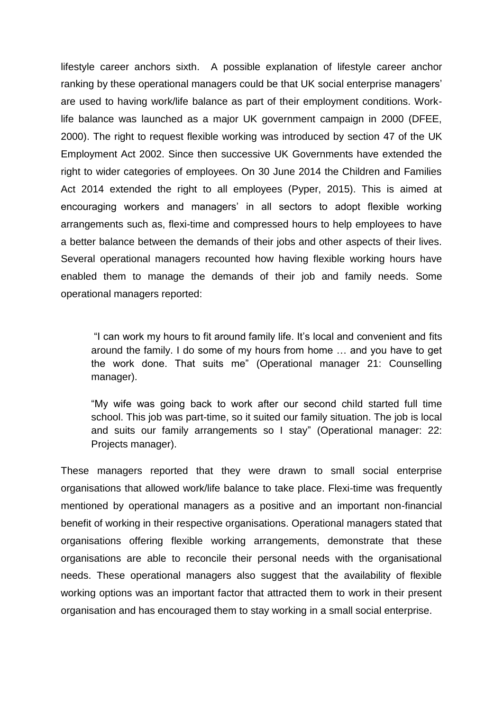lifestyle career anchors sixth. A possible explanation of lifestyle career anchor ranking by these operational managers could be that UK social enterprise managers' are used to having work/life balance as part of their employment conditions. Worklife balance was launched as a major UK government campaign in 2000 (DFEE, 2000). The right to request flexible working was introduced by section 47 of the UK Employment Act 2002. Since then successive UK Governments have extended the right to wider categories of employees. On 30 June 2014 the Children and Families Act 2014 extended the right to all employees (Pyper, 2015). This is aimed at encouraging workers and managers' in all sectors to adopt flexible working arrangements such as, flexi-time and compressed hours to help employees to have a better balance between the demands of their jobs and other aspects of their lives. Several operational managers recounted how having flexible working hours have enabled them to manage the demands of their job and family needs. Some operational managers reported:

"I can work my hours to fit around family life. It's local and convenient and fits around the family. I do some of my hours from home … and you have to get the work done. That suits me" (Operational manager 21: Counselling manager).

"My wife was going back to work after our second child started full time school. This iob was part-time, so it suited our family situation. The job is local and suits our family arrangements so I stay" (Operational manager: 22: Projects manager).

These managers reported that they were drawn to small social enterprise organisations that allowed work/life balance to take place. Flexi-time was frequently mentioned by operational managers as a positive and an important non-financial benefit of working in their respective organisations. Operational managers stated that organisations offering flexible working arrangements, demonstrate that these organisations are able to reconcile their personal needs with the organisational needs. These operational managers also suggest that the availability of flexible working options was an important factor that attracted them to work in their present organisation and has encouraged them to stay working in a small social enterprise.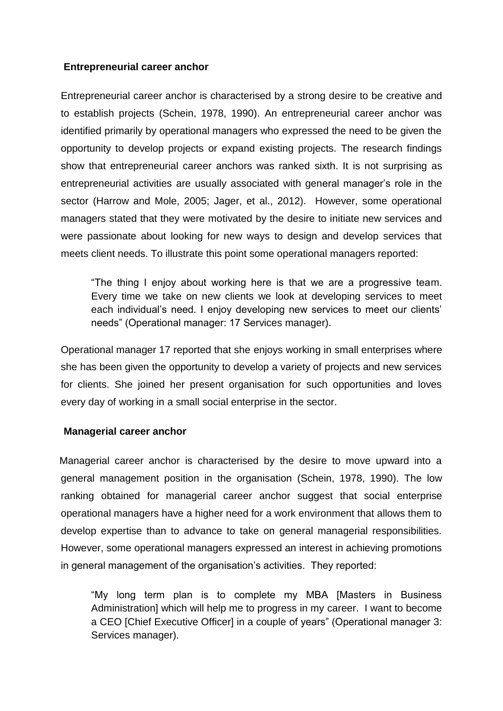# **Entrepreneurial career anchor**

Entrepreneurial career anchor is characterised by a strong desire to be creative and to establish projects (Schein, 1978, 1990). An entrepreneurial career anchor was identified primarily by operational managers who expressed the need to be given the opportunity to develop projects or expand existing projects. The research findings show that entrepreneurial career anchors was ranked sixth. It is not surprising as entrepreneurial activities are usually associated with general manager's role in the sector (Harrow and Mole, 2005; Jager, et al., 2012). However, some operational managers stated that they were motivated by the desire to initiate new services and were passionate about looking for new ways to design and develop services that meets client needs. To illustrate this point some operational managers reported:

"The thing I enjoy about working here is that we are a progressive team. Every time we take on new clients we look at developing services to meet each individual's need. I enjoy developing new services to meet our clients' needs" (Operational manager: 17 Services manager).

Operational manager 17 reported that she enjoys working in small enterprises where she has been given the opportunity to develop a variety of projects and new services for clients. She joined her present organisation for such opportunities and loves every day of working in a small social enterprise in the sector.

# **Managerial career anchor**

 Managerial career anchor is characterised by the desire to move upward into a general management position in the organisation (Schein, 1978, 1990). The low ranking obtained for managerial career anchor suggest that social enterprise operational managers have a higher need for a work environment that allows them to develop expertise than to advance to take on general managerial responsibilities. However, some operational managers expressed an interest in achieving promotions in general management of the organisation's activities. They reported:

"My long term plan is to complete my MBA [Masters in Business Administration] which will help me to progress in my career. I want to become a CEO [Chief Executive Officer] in a couple of years" (Operational manager 3: Services manager).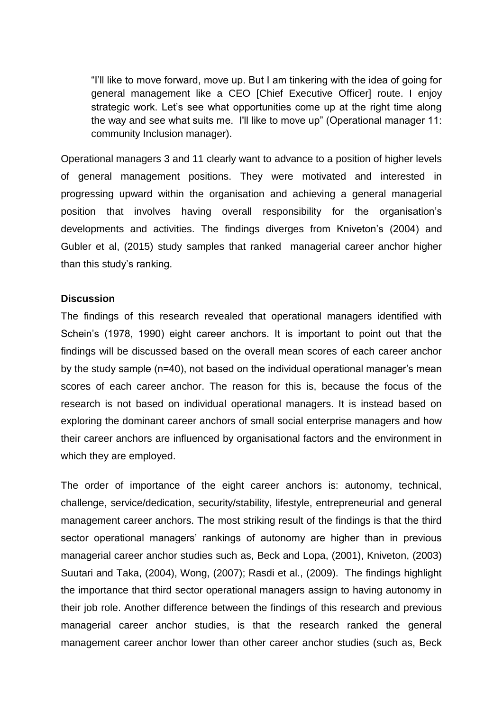"I'll like to move forward, move up. But I am tinkering with the idea of going for general management like a CEO [Chief Executive Officer] route. I enjoy strategic work. Let's see what opportunities come up at the right time along the way and see what suits me. I'll like to move up" (Operational manager 11: community Inclusion manager).

Operational managers 3 and 11 clearly want to advance to a position of higher levels of general management positions. They were motivated and interested in progressing upward within the organisation and achieving a general managerial position that involves having overall responsibility for the organisation's developments and activities. The findings diverges from Kniveton's (2004) and Gubler et al, (2015) study samples that ranked managerial career anchor higher than this study's ranking.

### **Discussion**

The findings of this research revealed that operational managers identified with Schein's (1978, 1990) eight career anchors. It is important to point out that the findings will be discussed based on the overall mean scores of each career anchor by the study sample (n=40), not based on the individual operational manager's mean scores of each career anchor. The reason for this is, because the focus of the research is not based on individual operational managers. It is instead based on exploring the dominant career anchors of small social enterprise managers and how their career anchors are influenced by organisational factors and the environment in which they are employed.

The order of importance of the eight career anchors is: autonomy, technical, challenge, service/dedication, security/stability, lifestyle, entrepreneurial and general management career anchors. The most striking result of the findings is that the third sector operational managers' rankings of autonomy are higher than in previous managerial career anchor studies such as, Beck and Lopa, (2001), Kniveton, (2003) Suutari and Taka, (2004), Wong, (2007); Rasdi et al., (2009). The findings highlight the importance that third sector operational managers assign to having autonomy in their job role. Another difference between the findings of this research and previous managerial career anchor studies, is that the research ranked the general management career anchor lower than other career anchor studies (such as, Beck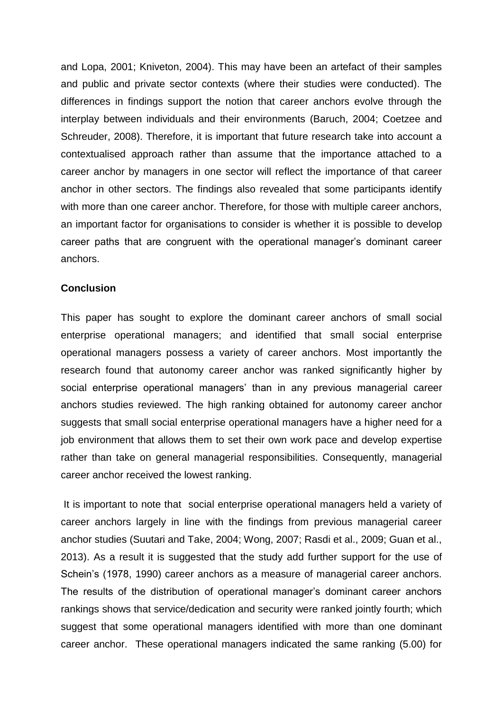and Lopa, 2001; Kniveton, 2004). This may have been an artefact of their samples and public and private sector contexts (where their studies were conducted). The differences in findings support the notion that career anchors evolve through the interplay between individuals and their environments (Baruch, 2004; Coetzee and Schreuder, 2008). Therefore, it is important that future research take into account a contextualised approach rather than assume that the importance attached to a career anchor by managers in one sector will reflect the importance of that career anchor in other sectors. The findings also revealed that some participants identify with more than one career anchor. Therefore, for those with multiple career anchors, an important factor for organisations to consider is whether it is possible to develop career paths that are congruent with the operational manager's dominant career anchors.

#### **Conclusion**

This paper has sought to explore the dominant career anchors of small social enterprise operational managers; and identified that small social enterprise operational managers possess a variety of career anchors. Most importantly the research found that autonomy career anchor was ranked significantly higher by social enterprise operational managers' than in any previous managerial career anchors studies reviewed. The high ranking obtained for autonomy career anchor suggests that small social enterprise operational managers have a higher need for a job environment that allows them to set their own work pace and develop expertise rather than take on general managerial responsibilities. Consequently, managerial career anchor received the lowest ranking.

It is important to note that social enterprise operational managers held a variety of career anchors largely in line with the findings from previous managerial career anchor studies (Suutari and Take, 2004; Wong, 2007; Rasdi et al., 2009; Guan et al., 2013). As a result it is suggested that the study add further support for the use of Schein's (1978, 1990) career anchors as a measure of managerial career anchors. The results of the distribution of operational manager's dominant career anchors rankings shows that service/dedication and security were ranked jointly fourth; which suggest that some operational managers identified with more than one dominant career anchor. These operational managers indicated the same ranking (5.00) for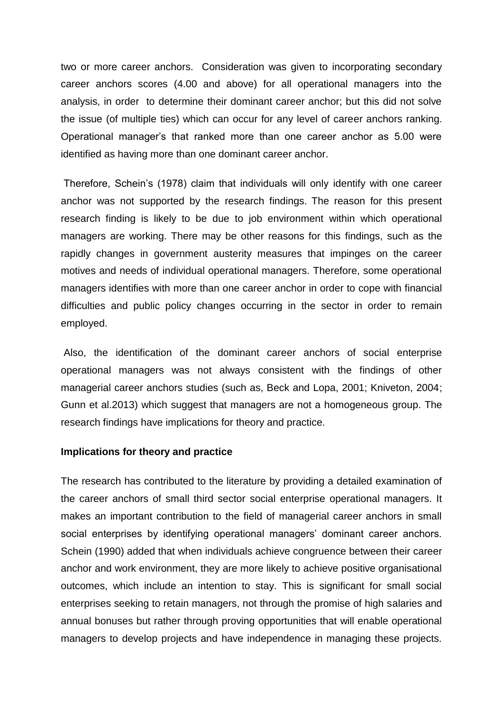two or more career anchors. Consideration was given to incorporating secondary career anchors scores (4.00 and above) for all operational managers into the analysis, in order to determine their dominant career anchor; but this did not solve the issue (of multiple ties) which can occur for any level of career anchors ranking. Operational manager's that ranked more than one career anchor as 5.00 were identified as having more than one dominant career anchor.

Therefore, Schein's (1978) claim that individuals will only identify with one career anchor was not supported by the research findings. The reason for this present research finding is likely to be due to job environment within which operational managers are working. There may be other reasons for this findings, such as the rapidly changes in government austerity measures that impinges on the career motives and needs of individual operational managers. Therefore, some operational managers identifies with more than one career anchor in order to cope with financial difficulties and public policy changes occurring in the sector in order to remain employed.

Also, the identification of the dominant career anchors of social enterprise operational managers was not always consistent with the findings of other managerial career anchors studies (such as, Beck and Lopa, 2001; Kniveton, 2004; Gunn et al.2013) which suggest that managers are not a homogeneous group. The research findings have implications for theory and practice.

#### **Implications for theory and practice**

The research has contributed to the literature by providing a detailed examination of the career anchors of small third sector social enterprise operational managers. It makes an important contribution to the field of managerial career anchors in small social enterprises by identifying operational managers' dominant career anchors. Schein (1990) added that when individuals achieve congruence between their career anchor and work environment, they are more likely to achieve positive organisational outcomes, which include an intention to stay. This is significant for small social enterprises seeking to retain managers, not through the promise of high salaries and annual bonuses but rather through proving opportunities that will enable operational managers to develop projects and have independence in managing these projects.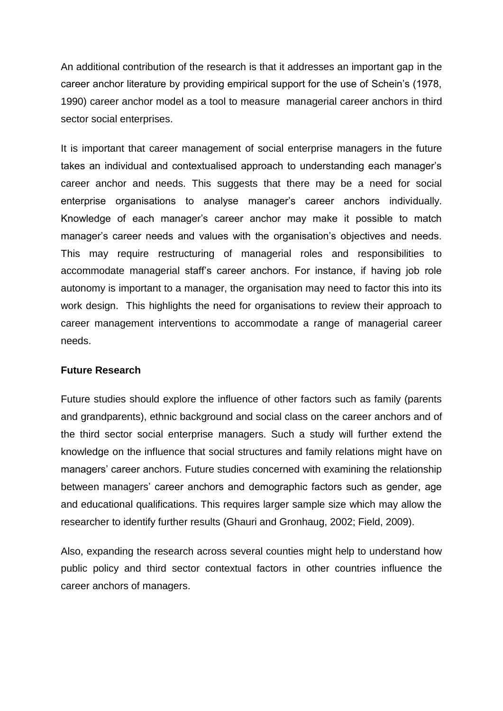An additional contribution of the research is that it addresses an important gap in the career anchor literature by providing empirical support for the use of Schein's (1978, 1990) career anchor model as a tool to measure managerial career anchors in third sector social enterprises.

It is important that career management of social enterprise managers in the future takes an individual and contextualised approach to understanding each manager's career anchor and needs. This suggests that there may be a need for social enterprise organisations to analyse manager's career anchors individually. Knowledge of each manager's career anchor may make it possible to match manager's career needs and values with the organisation's objectives and needs. This may require restructuring of managerial roles and responsibilities to accommodate managerial staff's career anchors. For instance, if having job role autonomy is important to a manager, the organisation may need to factor this into its work design. This highlights the need for organisations to review their approach to career management interventions to accommodate a range of managerial career needs.

# **Future Research**

Future studies should explore the influence of other factors such as family (parents and grandparents), ethnic background and social class on the career anchors and of the third sector social enterprise managers. Such a study will further extend the knowledge on the influence that social structures and family relations might have on managers' career anchors. Future studies concerned with examining the relationship between managers' career anchors and demographic factors such as gender, age and educational qualifications. This requires larger sample size which may allow the researcher to identify further results (Ghauri and Gronhaug, 2002; Field, 2009).

Also, expanding the research across several counties might help to understand how public policy and third sector contextual factors in other countries influence the career anchors of managers.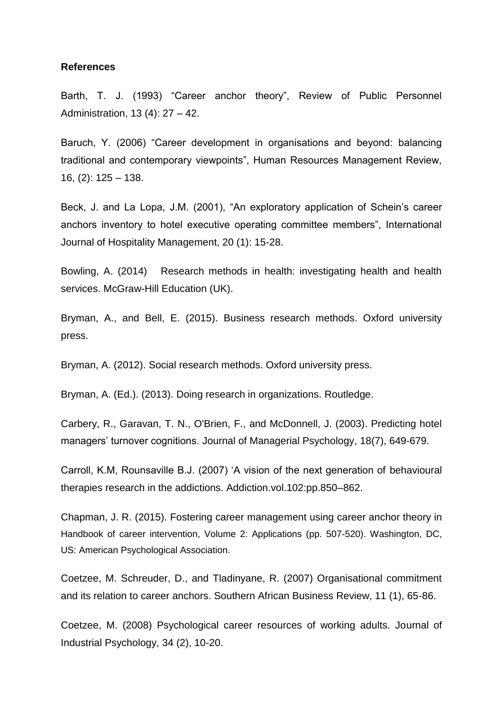#### **References**

Barth, T. J. (1993) "Career anchor theory", Review of Public Personnel Administration, 13 (4): 27 – 42.

Baruch, Y. (2006) "Career development in organisations and beyond: balancing traditional and contemporary viewpoints", Human Resources Management Review, 16, (2): 125 – 138.

Beck, J. and La Lopa, J.M. (2001), "An exploratory application of Schein's career anchors inventory to hotel executive operating committee members", International Journal of Hospitality Management, 20 (1): 15-28.

Bowling, A. (2014) Research methods in health: investigating health and health services. McGraw-Hill Education (UK).

Bryman, A., and Bell, E. (2015). Business research methods. Oxford university press.

Bryman, A. (2012). Social research methods. Oxford university press.

Bryman, A. (Ed.). (2013). Doing research in organizations. Routledge.

Carbery, R., Garavan, T. N., O'Brien, F., and McDonnell, J. (2003). Predicting hotel managers' turnover cognitions. Journal of Managerial Psychology, 18(7), 649-679.

Carroll, K.M, Rounsaville B.J. (2007) 'A vision of the next generation of behavioural therapies research in the addictions. Addiction.vol.102:pp.850–862.

Chapman, J. R. (2015). Fostering career management using career anchor theory in Handbook of career intervention, Volume 2: Applications (pp. 507-520). Washington, DC, US: American Psychological Association.

Coetzee, M. Schreuder, D., and Tladinyane, R. (2007) Organisational commitment and its relation to career anchors. Southern African Business Review, 11 (1), 65-86.

Coetzee, M. (2008) Psychological career resources of working adults. Journal of Industrial Psychology, 34 (2), 10-20.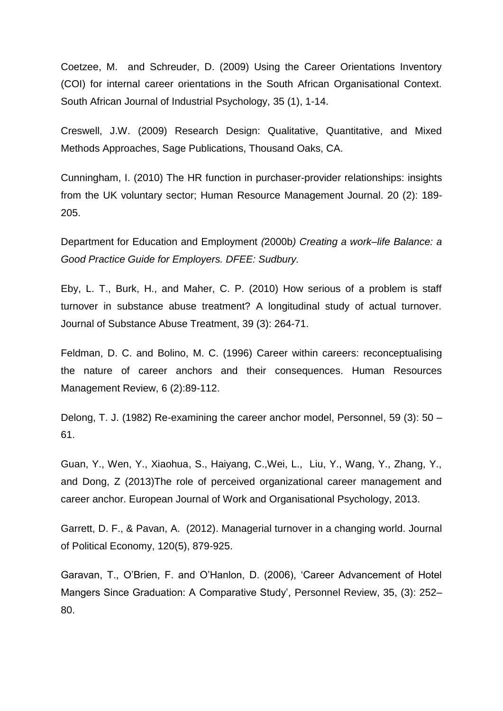Coetzee, M. and Schreuder, D. (2009) Using the Career Orientations Inventory (COI) for internal career orientations in the South African Organisational Context. South African Journal of Industrial Psychology, 35 (1), 1-14.

Creswell, J.W. (2009) Research Design: Qualitative, Quantitative, and Mixed Methods Approaches, Sage Publications, Thousand Oaks, CA.

Cunningham, I. (2010) The HR function in purchaser-provider relationships: insights from the UK voluntary sector; Human Resource Management Journal. 20 (2): 189- 205.

Department for Education and Employment *(*2000b*) Creating a work–life Balance: a Good Practice Guide for Employers. DFEE: Sudbury.*

Eby, L. T., Burk, H., and Maher, C. P. (2010) How serious of a problem is staff turnover in substance abuse treatment? A longitudinal study of actual turnover. Journal of Substance Abuse Treatment, 39 (3): 264-71.

Feldman, D. C. and Bolino, M. C. (1996) Career within careers: reconceptualising the nature of career anchors and their consequences. Human Resources Management Review, 6 (2):89-112.

Delong, T. J. (1982) Re-examining the career anchor model, Personnel, 59 (3): 50 – 61.

Guan, Y., Wen, Y., Xiaohua, S., Haiyang, C.,Wei, L., Liu, Y., Wang, Y., Zhang, Y., and Dong, Z (2013)The role of perceived organizational career management and career anchor. European Journal of Work and Organisational Psychology, 2013.

Garrett, D. F., & Pavan, A. (2012). Managerial turnover in a changing world. Journal of Political Economy, 120(5), 879-925.

Garavan, T., O'Brien, F. and O'Hanlon, D. (2006), 'Career Advancement of Hotel Mangers Since Graduation: A Comparative Study', Personnel Review, 35, (3): 252– 80.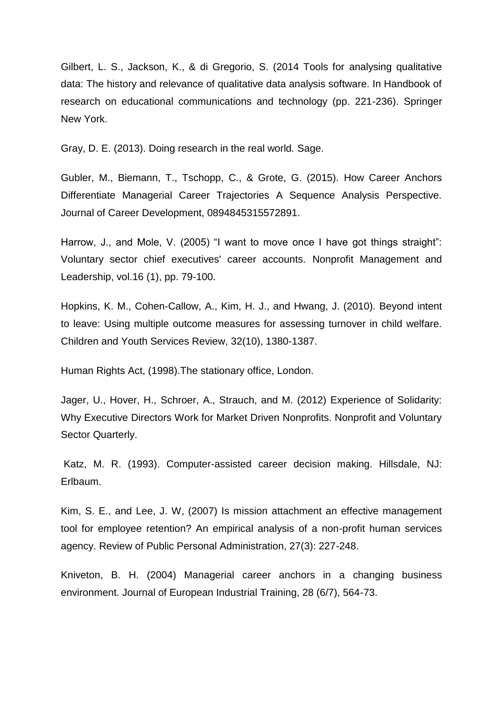Gilbert, L. S., Jackson, K., & di Gregorio, S. (2014 Tools for analysing qualitative data: The history and relevance of qualitative data analysis software. In Handbook of research on educational communications and technology (pp. 221-236). Springer New York.

Gray, D. E. (2013). Doing research in the real world*.* Sage.

Gubler, M., Biemann, T., Tschopp, C., & Grote, G. (2015). How Career Anchors Differentiate Managerial Career Trajectories A Sequence Analysis Perspective. Journal of Career Development, 0894845315572891.

Harrow, J., and Mole, V. (2005) "I want to move once I have got things straight": Voluntary sector chief executives' career accounts. Nonprofit Management and Leadership, vol.16 (1), pp. 79-100.

Hopkins, K. M., Cohen-Callow, A., Kim, H. J., and Hwang, J. (2010). Beyond intent to leave: Using multiple outcome measures for assessing turnover in child welfare. Children and Youth Services Review, 32(10), 1380-1387.

Human Rights Act, (1998).The stationary office, London.

Jager, U., Hover, H., Schroer, A., Strauch, and M. (2012) Experience of Solidarity: Why Executive Directors Work for Market Driven Nonprofits. Nonprofit and Voluntary Sector Quarterly.

Katz, M. R. (1993). Computer-assisted career decision making. Hillsdale, NJ: Erlbaum.

Kim, S. E., and Lee, J. W, (2007) Is mission attachment an effective management tool for employee retention? An empirical analysis of a non-profit human services agency. Review of Public Personal Administration, 27(3): 227-248.

Kniveton, B. H. (2004) Managerial career anchors in a changing business environment. Journal of European Industrial Training, 28 (6/7), 564-73.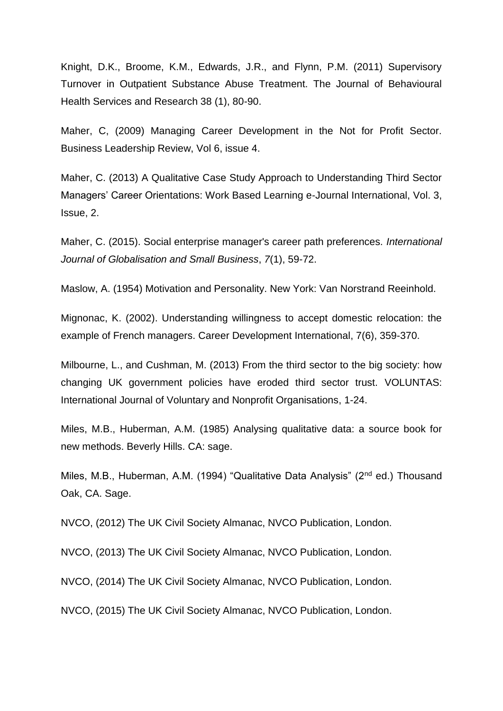Knight, D.K., Broome, K.M., Edwards, J.R., and Flynn, P.M. (2011) Supervisory Turnover in Outpatient Substance Abuse Treatment. The Journal of Behavioural Health Services and Research 38 (1), 80-90.

Maher, C, (2009) Managing Career Development in the Not for Profit Sector. Business Leadership Review, Vol 6, issue 4.

Maher, C. (2013) A Qualitative Case Study Approach to Understanding Third Sector Managers' Career Orientations: Work Based Learning e-Journal International, Vol. 3, Issue, 2.

Maher, C. (2015). Social enterprise manager's career path preferences. *International Journal of Globalisation and Small Business*, *7*(1), 59-72.

Maslow, A. (1954) Motivation and Personality. New York: Van Norstrand Reeinhold.

Mignonac, K. (2002). Understanding willingness to accept domestic relocation: the example of French managers. Career Development International, 7(6), 359-370.

Milbourne, L., and Cushman, M. (2013) From the third sector to the big society: how changing UK government policies have eroded third sector trust. VOLUNTAS: International Journal of Voluntary and Nonprofit Organisations, 1-24.

Miles, M.B., Huberman, A.M. (1985) Analysing qualitative data: a source book for new methods. Beverly Hills. CA: sage.

Miles, M.B., Huberman, A.M. (1994) "Qualitative Data Analysis" (2nd ed.) Thousand Oak, CA. Sage.

NVCO, (2012) The UK Civil Society Almanac, NVCO Publication, London.

NVCO, (2013) The UK Civil Society Almanac, NVCO Publication, London.

NVCO, (2014) The UK Civil Society Almanac, NVCO Publication, London.

NVCO, (2015) The UK Civil Society Almanac, NVCO Publication, London.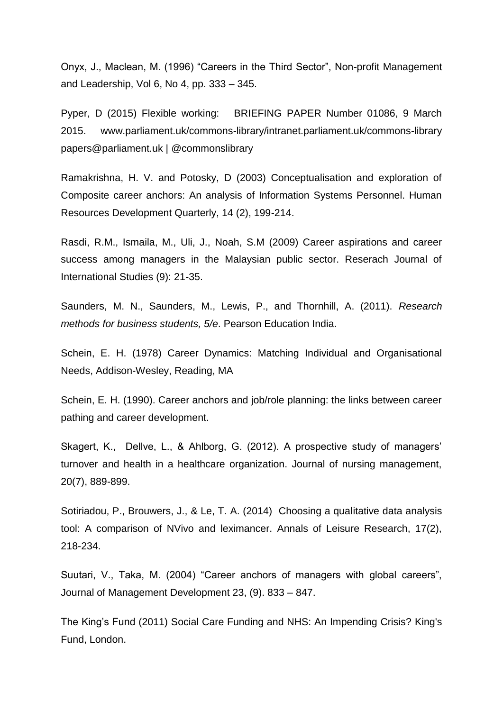Onyx, J., Maclean, M. (1996) "Careers in the Third Sector", Non-profit Management and Leadership, Vol 6, No 4, pp. 333 – 345.

Pyper, D (2015) Flexible working: BRIEFING PAPER Number 01086, 9 March 2015. www.parliament.uk/commons-library/intranet.parliament.uk/commons-library papers@parliament.uk | @commonslibrary

Ramakrishna, H. V. and Potosky, D (2003) Conceptualisation and exploration of Composite career anchors: An analysis of Information Systems Personnel. Human Resources Development Quarterly, 14 (2), 199-214.

Rasdi, R.M., Ismaila, M., Uli, J., Noah, S.M (2009) Career aspirations and career success among managers in the Malaysian public sector. Reserach Journal of International Studies (9): 21-35.

Saunders, M. N., Saunders, M., Lewis, P., and Thornhill, A. (2011). *Research methods for business students, 5/e*. Pearson Education India.

Schein, E. H. (1978) Career Dynamics: Matching Individual and Organisational Needs, Addison-Wesley, Reading, MA

Schein, E. H. (1990). Career anchors and job/role planning: the links between career pathing and career development.

Skagert, K., Dellve, L., & Ahlborg, G. (2012). A prospective study of managers' turnover and health in a healthcare organization. Journal of nursing management, 20(7), 889-899.

Sotiriadou, P., Brouwers, J., & Le, T. A. (2014) Choosing a qualitative data analysis tool: A comparison of NVivo and leximancer. Annals of Leisure Research, 17(2), 218-234.

Suutari, V., Taka, M. (2004) "Career anchors of managers with global careers", Journal of Management Development 23, (9). 833 – 847.

The King's Fund (2011) Social Care Funding and NHS: An Impending Crisis? King's Fund, London.